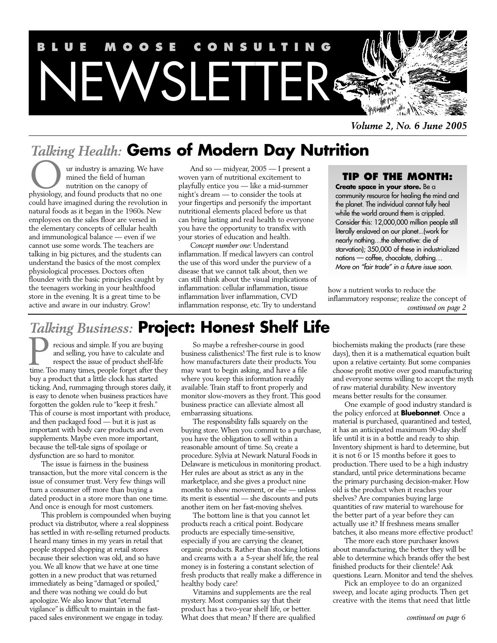

*Volume 2, No. 6 June 2005*

# *Talking Health:* **Gems of Modern Day Nutrition**

ur industry is amazing. We have mined the field of human nutrition on the canopy of **physiology**, and found products that no one could have imagined during the revolution in natural foods as it began in the 1960s. New employees on the sales floor are versed in the elementary concepts of cellular health and immunological balance — even if we cannot use some words. The teachers are talking in big pictures, and the students can understand the basics of the most complex physiological processes. Doctors often flounder with the basic principles caught by the teenagers working in your healthfood store in the evening. It is a great time to be active and aware in our industry. Grow!

And so — midyear, 2005 — I present a woven yarn of nutritional excitement to playfully entice you — like a mid-summer night's dream — to consider the tools at your fingertips and personify the important nutritional elements placed before us that can bring lasting and real health to everyone you have the opportunity to transfix with your stories of education and health.

*Concept number one*: Understand inflammation. If medical lawyers can control the use of this word under the purview of a disease that we cannot talk about, then we can still think about the visual implications of inflammation: cellular inflammation, tissue inflammation liver inflammation, CVD inflammation response, etc. Try to understand

## **TIP OF THE MONTH:**

**Create space in your store.** Be a community resource for healing the mind and the planet. The individual cannot fully heal while the world around them is crippled. Consider this: 12,000,000 million people still literally enslaved on our planet...(work for nearly nothing…the alternative: die of starvation); 350,000 of these in industrialized nations — coffee, chocolate, clothing… More on "fair trade" in a future issue soon.

how a nutrient works to reduce the inflammatory response; realize the concept of *continued on page 2*

# *Talking Business:* **Project: Honest Shelf Life**

recious and simple. If you are buying and selling, you have to calculate and respect the issue of product shelf-life Too many time. If you are buying<br>and selling, you have to calculate and<br>respect the issue of product shelf-life<br>time. Too many times, people forget after they buy a product that a little clock has started ticking. And, rummaging through stores daily, it is easy to denote when business practices have forgotten the golden rule to "keep it fresh." This of course is most important with produce, and then packaged food — but it is just as important with body care products and even supplements. Maybe even more important, because the tell-tale signs of spoilage or dysfunction are so hard to monitor.

The issue is fairness in the business transaction, but the more vital concern is the issue of consumer trust. Very few things will turn a consumer off more than buying a dated product in a store more than one time. And once is enough for most customers.

This problem is compounded when buying product via distributor, where a real sloppiness has settled in with re-selling returned products. I heard many times in my years in retail that people stopped shopping at retail stores because their selection was old, and so have you. We all know that we have at one time gotten in a new product that was returned immediately as being "damaged or spoiled," and there was nothing we could do but apologize. We also know that "eternal vigilance" is difficult to maintain in the fastpaced sales environment we engage in today.

So maybe a refresher-course in good business calisthenics! The first rule is to know how manufacturers date their products. You may want to begin asking, and have a file where you keep this information readily available. Train staff to front properly and monitor slow-movers as they front. This good business practice can alleviate almost all embarrassing situations.

The responsibility falls squarely on the buying store. When you commit to a purchase, you have the obligation to sell within a reasonable amount of time. So, create a procedure. Sylvia at Newark Natural Foods in Delaware is meticulous in monitoring product. Her rules are about as strict as any in the marketplace, and she gives a product nine months to show movement, or else — unless its merit is essential — she discounts and puts another item on her fast-moving shelves.

The bottom line is that you cannot let products reach a critical point. Bodycare products are especially time-sensitive, especially if you are carrying the cleaner, organic products. Rather than stocking lotions and creams with a a 5-year shelf life, the real money is in fostering a constant selection of fresh products that really make a difference in healthy body care!

Vitamins and supplements are the real mystery. Most companies say that their product has a two-year shelf life, or better. What does that mean? If there are qualified

biochemists making the products (rare these days), then it is a mathematical equation built upon a relative certainty. But some companies choose profit motive over good manufacturing and everyone seems willing to accept the myth of raw material durability. New inventory means better results for the consumer.

One example of good industry standard is the policy enforced at **Bluebonnet**. Once a material is purchased, quarantined and tested, it has an anticipated maximum 90-day shelf life until it is in a bottle and ready to ship. Inventory shipment is hard to determine, but it is not 6 or 15 months before it goes to production. There used to be a high industry standard, until price determinations became the primary purchasing decision-maker. How old is the product when it reaches your shelves? Are companies buying large quantities of raw material to warehouse for the better part of a year before they can actually use it? If freshness means smaller batches, it also means more effective product!

The more each store purchaser knows about manufacturing, the better they will be able to determine which brands offer the best finished products for their clientele! Ask questions. Learn. Monitor and tend the shelves.

Pick an employee to do an organized sweep, and locate aging products. Then get creative with the items that need that little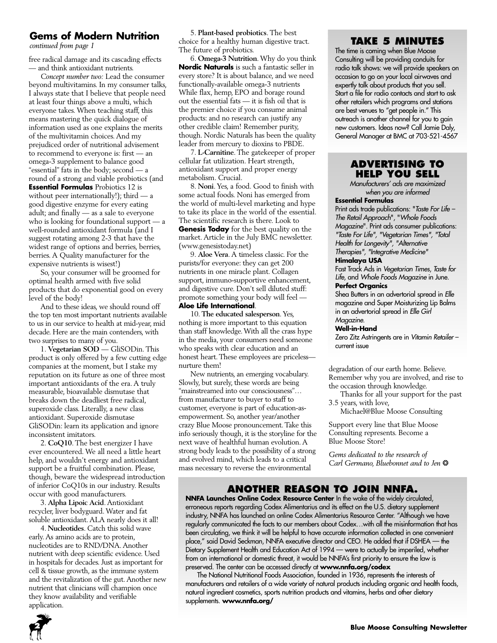#### **Gems of Modern Nutrition**

*continued from page 1*

free radical damage and its cascading effects — and think antioxidant nutrients.

*Concept number two:* Lead the consumer beyond multivitamins. In my consumer talks, I always state that I believe that people need at least four things above a multi, which everyone takes.When teaching staff, this means mastering the quick dialogue of information used as one explains the merits of the multivitamin choices. And my prejudiced order of nutritional advisement to recommend to everyone is: first — an omega-3 supplement to balance good "essential" fats in the body; second — a round of a strong and viable probiotics (and **Essential Formulas** Probiotics 12 is without peer internationally!); third — a good digestive enzyme for every eating adult; and finally — as a sale to everyone who is looking for foundational support — a well-rounded antioxidant formula (and I suggest rotating among 2-3 that have the widest range of options and berries, berries, berries. A Quality manufacturer for the expensive nutrients is wisest!)

So, your consumer will be groomed for optimal health armed with five solid products that do exponential good on every level of the body!

And to these ideas, we should round off the top ten most important nutrients available to us in our service to health at mid-year, mid decade. Here are the main contenders, with two surprises to many of you.

1. **Vegetarian SOD** — GliSODin. This product is only offered by a few cutting edge companies at the moment, but I stake my reputation on its future as one of three most important antioxidants of the era. A truly measurable, bioavailable dismutase that breaks down the deadliest free radical, superoxide class. Literally, a new class antioxidant. Superoxide dismutase GliSODin: learn its application and ignore inconsistent imitators.

2. **CoQ10**.The best energizer I have ever encountered.We all need a little heart help, and wouldn't energy and antioxidant support be a fruitful combination. Please, though, beware the widespread introduction of inferior CoQ10s in our industry. Results occur with good manufacturers.

3. **Alpha Lipoic Acid**. Antioxidant recycler, liver bodyguard.Water and fat soluble antioxidant.ALA nearly does it all!

4. **Nucleotides**. Catch this solid wave early.As amino acids are to protein, nucleotides are to RND/DNA.Another nutrient with deep scientific evidence. Used in hospitals for decades. Just as important for cell & tissue growth, as the immune system and the revitalization of the gut.Another new nutrient that clinicians will champion once they know availability and verifiable application.

5. **Plant-based probiotics**. The best choice for a healthy human digestive tract. The future of probiotics.

6. **Omega-3 Nutrition**.Why do you think **Nordic Naturals** is such a fantastic seller in every store? It is about balance, and we need functionally-available omega-3 nutrients While flax, hemp, EPO and borage round out the essential fats — it is fish oil that is the premier choice if you consume animal products: and no research can justify any other credible claim! Remember purity, though. Nordic Naturals has been the quality leader from mercury to dioxins to PBDE.

7. **L-Carnitine**.The gatekeeper of proper cellular fat utilization. Heart strength, antioxidant support and proper energy metabolism. Crucial.

8. **Noni**.Yes, a food. Good to finish with some actual foods. Noni has emerged from the world of multi-level marketing and hype to take its place in the world of the essential. The scientific research is there. Look to **Genesis Today** for the best quality on the market. Article in the July BMC newsletter. (www.genesistoday.net)

9. **Aloe Vera**. A timeless classic. For the purists/for everyone: they can get 200 nutrients in one miracle plant. Collagen support, immuno-supportive enhancement, and digestive cure. Don't sell diluted stuff: promote something your body will feel —

#### **Aloe Life International**.

10. **The educated salesperson**.Yes, nothing is more important to this equation than staff knowledge.With all the crass hype in the media, your consumers need someone who speaks with clear education and an honest heart. These employees are pricelessnurture them!

New nutrients, an emerging vocabulary. Slowly, but surely, these words are being "mainstreamed into our consciousness"… from manufacturer to buyer to staff to customer, everyone is part of education-asempowerment. So, another year/another crazy Blue Moose pronouncement.Take this info seriously though, it is the storyline for the next wave of healthful human evolution.A strong body leads to the possibility of a strong and evolved mind, which leads to a critical mass necessary to reverse the environmental

#### **TAKE 5 MINUTES**

The time is coming when Blue Moose Consulting will be providing conduits for radio talk shows: we will provide speakers on occasion to go on your local airwaves and expertly talk about products that you sell. Start a file for radio contacts and start to ask other retailers which programs and stations are best venues to "get people in." This outreach is another channel for you to gain new customers. Ideas now? Call Jamie Daly, General Manager at BMC at 703-521-4567

#### **ADVERTISING TO HELP YOU SELL**

Manufacturers' ads are maximized when you are informed

#### **Essential Formulas**

Print ads trade publications: "Taste For Life – The Retail Approach", "Whole Foods Magazine". Print ads consumer publications: "Taste For Life", "Vegetarian Times", "Total Health for Longevity", "Alternative Therapies", "Integrative Medicine"

#### **Himalaya USA**

Fast Track Ads in Vegetarian Times, Taste for Life, and Whole Foods Magazine in June.

#### **Perfect Organics**

Shea Butters in an advertorial spread in Elle magazine and Super Moisturizing Lip Balms in an advertorial spread in Elle Girl Magazine.

#### **Well-in-Hand**

Zero Zitz Astringents are in Vitamin Retailer – current issue

degradation of our earth home. Believe. Remember why you are involved, and rise to the occasion through knowledge.

Thanks for all your support for the past 3.5 years, with love,

Michael@Blue Moose Consulting

Support every line that Blue Moose Consulting represents. Become a Blue Moose Store!

*Gems dedicated to the research of Carl Germano, Bluebonnet and to Jen* ❂

## **ANOTHER REASON TO JOIN NNFA.**

**NNFA Launches Online Codex Resource Center** In the wake of the widely circulated, erroneous reports regarding Codex Alimentarius and its effect on the U.S. dietary supplement industry, NNFA has launched an online Codex Alimentarius Resource Center. "Although we have regularly communicated the facts to our members about Codex…with all the misinformation that has been circulating, we think it will be helpful to have accurate information collected in one convenient place," said David Seckman, NNFA executive director and CEO. He added that if DSHEA — the Dietary Supplement Health and Education Act of 1994 — were to actually be imperiled, whether from an international or domestic threat, it would be NNFA's first priority to ensure the law is preserved. The center can be accessed directly at **www.nnfa.org/codex**

The National Nutritional Foods Association, founded in 1936, represents the interests of manufacturers and retailers of a wide variety of natural products including organic and health foods, natural ingredient cosmetics, sports nutrition products and vitamins, herbs and other dietary supplements. **www.nnfa.org/**

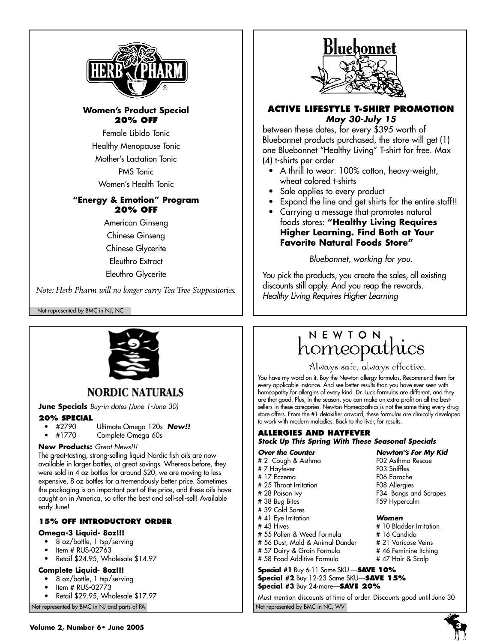

#### **Women's Product Special 20% OFF**

Female Libido Tonic Healthy Menopause Tonic Mother's Lactation Tonic

PMS Tonic

Women's Health Tonic

#### **"Energy & Emotion" Program 20% OFF**

American Ginseng Chinese Ginseng Chinese Glycerite Eleuthro Extract Eleuthro Glycerite

*Note: Herb Pharm will no longer carry Tea Tree Suppositories.*

Not represented by BMC in NJ, NC



## **NORDIC NATURALS**

**June Specials** Buy-in dates (June 1-June 30)

#### **20% SPECIAL**

- #2790 Ultimate Omega 120s **New!!**
- Complete Omega 60s

#### **New Products:** Great News!!!

The great-tasting, strong-selling liquid Nordic fish oils are now available in larger bottles, at great savings. Whereas before, they were sold in 4 oz bottles for around \$20, we are moving to less expensive, 8 oz bottles for a tremendously better price. Sometimes the packaging is an important part of the price, and these oils have caught on in America, so offer the best and sell-sell-sell! Available early June!

#### **15% OFF INTRODUCTORY ORDER**

#### **Omega-3 Liquid- 8oz!!!**

- 8 oz/bottle, 1 tsp/serving
- Item # RUS-02763
- Retail \$24.95, Wholesale \$14.97

#### **Complete Liquid- 8oz!!!**

- 8 oz/bottle, 1 tsp/serving
- Item # RUS-02773
- Retail \$29.95, Wholesale \$17.97

Not represented by BMC in NJ and parts of PA Not represented by BMC in NC, WV Not represented by BMC in NC, WV



#### **ACTIVE LIFESTYLE T-SHIRT PROMOTION May 30-July 15**

between these dates, for every \$395 worth of Bluebonnet products purchased, the store will get (1) one Bluebonnet "Healthy Living" T-shirt for free. Max (4) t-shirts per order

- A thrill to wear: 100% cotton, heavy-weight, wheat colored t-shirts
- Sale applies to every product
- Expand the line and get shirts for the entire staff!!
- Carrying a message that promotes natural foods stores: **"Healthy Living Requires Higher Learning. Find Both at Your Favorite Natural Foods Store"**

Bluebonnet, working for you.

You pick the products, you create the sales, all existing discounts still apply. And you reap the rewards. Healthy Living Requires Higher Learning

# NEWTON homeopathics

Always safe, always effective.

You have my word on it. Buy the Newton allergy formulas. Recommend them for every applicable instance. And see better results than you have ever seen with homeopathy for allergies of every kind. Dr. Luc's formulas are different, and they are that good. Plus, in the season, you can make an extra profit on all the bestsellers in these categories. Newton Homeopathics is not the same thing every drug store offers. From the #1 detoxifier onward, these formulas are clinically developed to work with modern maladies. Back to the liver, for results.

#### **ALLERGIES AND HAYFEVER Stock Up This Spring With These Seasonal Specials**

- 
- 
- 
- # 25 Throat Irritation F08 Allergies
- # 38 Bug Bites F59 Hypercalm
- # 39 Cold Sores
- 
- # 41 Eye Irritation **Women**
- 
- # 55 Pollen & Weed Formula # 16 Candida # 56 Dust, Mold & Animal Dander
- # 57 Dairy & Grain Formula # 46 Feminine Itching
- # 58 Food Additive Formula # 47 Hair & Scalp

#### **Special #1** Buy 6-11 Same SKU —**SAVE 10% Special #2** Buy 12-23 Same SKU—**SAVE 15% Special #3** Buy 24-more—**SAVE 20%**

Must mention discounts at time of order. Discounts good until June 30





#### **Over the Counter Newton''s For My Kid** # 2 Cough & Asthma F02 Asthma Rescue # 7 Hayfever F03 Sniffles # 17 Eczema F06 Earache

F34 Bangs and Scrapes

# 10 Bladder Irritation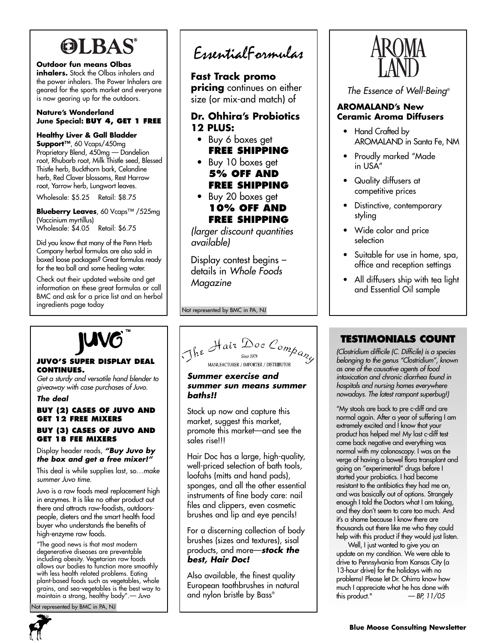# **OLBAS®**

**Outdoor fun means Olbas**

**inhalers.** Stock the Olbas inhalers and the power inhalers. The Power Inhalers are geared for the sports market and everyone is now gearing up for the outdoors.

#### **Nature's Wonderland June Special: BUY 4, GET 1 FREE**

#### **Healthy Liver & Gall Bladder**

**Support™**, 60 Vcaps/450mg Proprietary Blend, 450mg — Dandelion root, Rhubarb root, Milk Thistle seed, Blessed Thistle herb, Buckthorn bark, Celandine herb, Red Clover blossoms, Rest Harrow root, Yarrow herb, Lungwort leaves.

Wholesale: \$5.25 Retail: \$8.75

**Blueberry Leaves**, 60 Vcaps™ /525mg (Vaccinium myrtillus) Wholesale: \$4.05 Retail: \$6.75

Did you know that many of the Penn Herb Company herbal formulas are also sold in boxed loose packages? Great formulas ready for the tea ball and some healing water.

Check out their updated website and get information on these great formulas or call BMC and ask for a price list and an herbal ingredients page today

# EssentialFormulas

**Fast Track promo pricing** continues on either size (or mix-and match) of

### **Dr. Ohhira's Probiotics 12 PLUS:**

- Buy 6 boxes get **FREE SHIPPING**
- Buy 10 boxes get **5% OFF AND FREE SHIPPING**
- Buy 20 boxes get **10% OFF AND FREE SHIPPING**

(larger discount quantities available)

Display contest begins – details in Whole Foods Magazine

Not represented by BMC in PA, NJ

# AROMA

The Essence of Well-Being®

#### **AROMALAND's New Ceramic Aroma Diffusers**

- Hand Crafted by AROMALAND in Santa Fe, NM
- Proudly marked "Made in USA"
- Quality diffusers at competitive prices
- Distinctive, contemporary styling
- Wide color and price selection
- Suitable for use in home, spa, office and reception settings
- All diffusers ship with tea light and Essential Oil sample

#### **JUVO'S SUPER DISPLAY DEAL CONTINUES.**

Get a sturdy and versatile hand blender to <sup>g</sup>iveaway with case purchases of Juvo.

#### **The deal**

#### **BUY (2) CASES OF JUVO AND GET 12 FREE MIXERS BUY (3) CASES OF JUVO AND GET 18 FEE MIXERS**

#### Display header reads, **"Buy Juvo by the box and get a free mixer!"**

This deal is while supplies last, so…make summer Juvo time.

Juvo is a raw foods meal replacement high in enzymes. It is like no other product out there and attracts raw-foodists, outdoorspeople, dieters and the smart health food buyer who understands the benefits of high-enzyme raw foods.

"The good news is that most modern degenerative diseases are preventable including obesity. Vegetarian raw foods allows our bodies to function more smoothly with less health related problems. Eating plant-based foods such as vegetables, whole grains, and sea-vegetables is the best way to maintain a strong, healthy body".— Juvo

Not represented by BMC in PA, NJ



# The Hair Doc Company MANUFACTURER / IMPORTER / DISTRIBUTOR

#### **Summer exercise and summer sun means summer baths!!**

Stock up now and capture this market, suggest this market, promote this market—and see the sales rise!!!

Hair Doc has a large, high-quality, well-priced selection of bath tools, loofahs (mitts and hand pads), sponges, and all the other essential instruments of fine body care: nail files and clippers, even cosmetic brushes and lip and eye pencils!

For a discerning collection of body brushes (sizes and textures), sisal products, and more—**stock the best, Hair Doc!**

Also available, the finest quality European toothbrushes in natural and nylon bristle by Bass®

## **TESTIMONIALS COUNT**

(Clostridium difficile (C. Difficile) is a species belonging to the genus "Clostridium", known as one of the causative agents of food intoxication and chronic diarrhea found in hospitals and nursing homes everywhere nowadays. The latest rampant superbug!)

"My stools are back to pre c-diff and are normal again. After a year of suffering I am extremely excited and I know that your product has helped me! My last c-diff test came back negative and everything was normal with my colonoscopy. I was on the verge of having a bowel flora transplant and going on "experimental" drugs before I started your probiotics. I had become resistant to the antibiotics they had me on, and was basically out of options. Strangely enough I told the Doctors what I am taking, and they don't seem to care too much. And it's a shame because I know there are thousands out there like me who they could help with this product if they would just listen.

Well, I just wanted to give you an update on my condition. We were able to drive to Pennsylvania from Kansas City (a 13-hour drive) for the holidays with no problems! Please let Dr. Ohirra know how much I appreciate what he has done with this product."  $-BP, 11/05$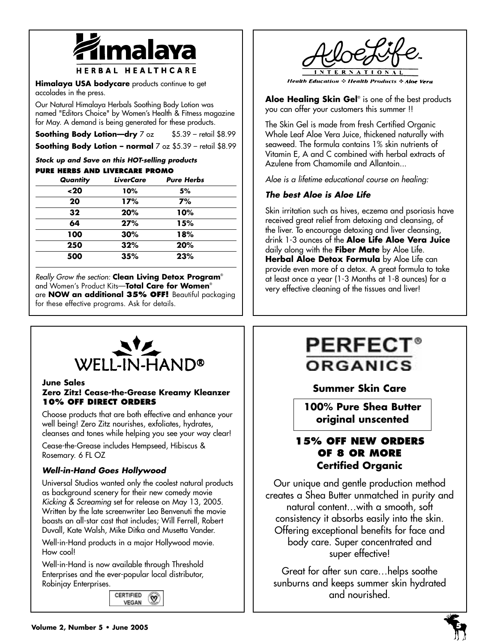

**Himalaya USA bodycare** products continue to get accolades in the press.

Our Natural Himalaya Herbals Soothing Body Lotion was named "Editors Choice" by Women's Health & Fitness magazine for May. A demand is being generated for these products.

**Soothing Body Lotion-dry** 7 oz \$5.39 – retail \$8.99 **Soothing Body Lotion – normal** 7 oz \$5.39 – retail \$8.99

# **Stock up and Save on this HOT-selling products**

| <b>PURE HERBS AND LIVERCARE PROMO</b> |                  |                   |  |
|---------------------------------------|------------------|-------------------|--|
| Quantity                              | <b>LiverCare</b> | <b>Pure Herbs</b> |  |
| ~120                                  | 10%              | 5%                |  |
| 20                                    | 17%              | 7%                |  |
| 32                                    | 20%              | 10%               |  |
| 64                                    | 27%              | 15%               |  |
| 100                                   | 30%              | 18%               |  |
| 250                                   | 32%              | 20%               |  |
| 500                                   | 35%              | 23%               |  |

Really Grow the section: **Clean Living Detox Program**® and Women's Product Kits—**Total Care for Women**® are **NOW an additional 35% OFF!** Beautiful packaging for these effective programs. Ask for details.



**Health Education : Health Products : Aloe** 

**Aloe Healing Skin Gel**® is one of the best products you can offer your customers this summer !!

The Skin Gel is made from fresh Certified Organic Whole Leaf Aloe Vera Juice, thickened naturally with seaweed. The formula contains 1% skin nutrients of Vitamin E, A and C combined with herbal extracts of Azulene from Chamomile and Allantoin...

Aloe is a lifetime educational course on healing:

### **The best Aloe is Aloe Life**

Skin irritation such as hives, eczema and psoriasis have received great relief from detoxing and cleansing, of the liver. To encourage detoxing and liver cleansing, drink 1-3 ounces of the **Aloe Life Aloe Vera Juice** daily along with the **Fiber Mate** by Aloe Life. **Herbal Aloe Detox Formula** by Aloe Life can provide even more of a detox. A great formula to take at least once a year (1-3 Months at 1-8 ounces) for a very effective cleaning of the tissues and liver!



**June Sales**

#### **Zero Zitz! Cease-the-Grease Kreamy Kleanzer 10% OFF DIRECT ORDERS**

Choose products that are both effective and enhance your well being! Zero Zitz nourishes, exfoliates, hydrates, cleanses and tones while helping you see your way clear!

Cease-the-Grease includes Hempseed, Hibiscus & Rosemary. 6 FL OZ

#### **Well-in-Hand Goes Hollywood**

Universal Studios wanted only the coolest natural products as background scenery for their new comedy movie Kicking & Screaming set for release on May 13, 2005. Written by the late screenwriter Leo Benvenuti the movie boasts an all-star cast that includes; Will Ferrell, Robert Duvall, Kate Walsh, Mike Ditka and Musetta Vander.

Well-in-Hand products in a major Hollywood movie. How cool!

Well-in-Hand is now available through Threshold Enterprises and the ever-popular local distributor, Robinjay Enterprises.



# **PERFEC** ORGANICS

## **Summer Skin Care**

**100% Pure Shea Butter original unscented**

## **15% OFF NEW ORDERS OF 8 OR MORE Certified Organic**

Our unique and gentle production method creates a Shea Butter unmatched in purity and natural content…with a smooth, soft consistency it absorbs easily into the skin. Offering exceptional benefits for face and body care. Super concentrated and super effective!

Great for after sun care…helps soothe sunburns and keeps summer skin hydrated and nourished.

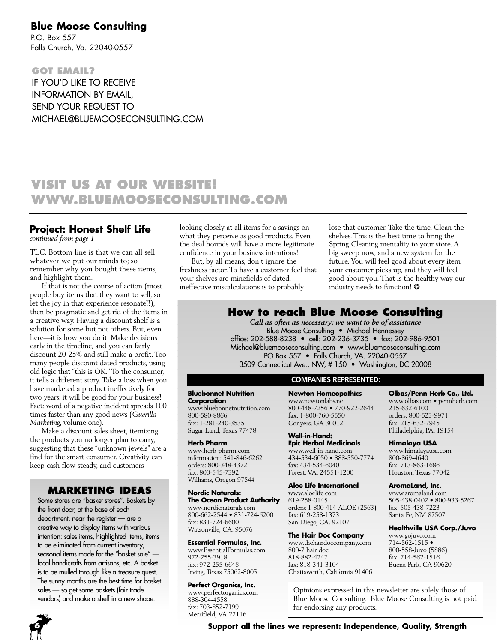### **Blue Moose Consulting**

P.O. Box 557 Falls Church, Va. 22040-0557

**GOT EMAIL?** IF YOU'D LIKE TO RECEIVE INFORMATION BY EMAIL, SEND YOUR REQUEST TO MICHAEL@BLUEMOOSECONSULTING.COM

## **VISIT US AT OUR WEBSITE! WWW.BLUEMOOSECONSULTING.COM**

## **Project: Honest Shelf Life**

*continued from page 1*

TLC. Bottom line is that we can all sell whatever we put our minds to; so remember why you bought these items, and highlight them.

If that is not the course of action (most people buy items that they want to sell, so let the joy in that experience resonate!!), then be pragmatic and get rid of the items in a creative way. Having a discount shelf is a solution for some but not others. But, even here—it is how you do it. Make decisions early in the timeline, and you can fairly discount 20-25% and still make a profit. Too many people discount dated products, using old logic that "this is OK."To the consumer, it tells a different story.Take a loss when you have marketed a product ineffectively for two years: it will be good for your business! Fact: word of a negative incident spreads 100 times faster than any good news (*Guerilla Marketing*, volume one).

Make a discount sales sheet, itemizing the products you no longer plan to carry, suggesting that these "unknown jewels" are a find for the smart consumer. Creativity can keep cash flow steady, and customers

#### **MARKETING IDEAS**

Some stores are "basket stores". Baskets by the front door, at the base of each department, near the register — are a creative way to display items with various intention: sales items, highlighted items, items to be eliminated from current inventory; seasonal items made for the "basket sale" local handicrafts from artisans, etc. A basket is to be mulled through like a treasure quest. The sunny months are the best time for basket sales — so get some baskets (fair trade vendors) and make a shelf in a new shape.

looking closely at all items for a savings on what they perceive as good products. Even the deal hounds will have a more legitimate confidence in your business intentions!

But, by all means, don't ignore the freshness factor. To have a customer feel that your shelves are minefields of dated, ineffective miscalculations is to probably

lose that customer. Take the time. Clean the shelves.This is the best time to bring the Spring Cleaning mentality to your store. A big sweep now, and a new system for the future.You will feel good about every item your customer picks up, and they will feel good about you. That is the healthy way our industry needs to function! \*

### **How to reach Blue Moose Consulting**

*Call as often as necessary: we want to be of assistance* Blue Moose Consulting • Michael Hennessey office: 202-588-8238 • cell: 202-236-3735 • fax: 202-986-9501 Michael@bluemooseconsulting.com • www.bluemooseconsulting.com PO Box 557 • Falls Church, VA. 22040-0557 3509 Connecticut Ave., NW, # 150 • Washington, DC 20008

#### **COMPANIES REPRESENTED:**

#### **Bluebonnet Nutrition Corporation**

www.bluebonnetnutrition.com 800-580-8866 fax: 1-281-240-3535 Sugar Land, Texas 77478

#### **Herb Pharm**

www.herb-pharm.com information: 541-846-6262 orders: 800-348-4372 fax: 800-545-7392 Williams, Oregon 97544

#### **Nordic Naturals: The Ocean Product Authority**

www.nordicnaturals.com 800-662-2544 • 831-724-6200 fax: 831-724-6600 Watsonville, CA. 95076

#### **Essential Formulas, Inc.**

www.EssentialFormulas.com 972-255-3918 fax: 972-255-6648 Irving, Texas 75062-8005

#### **Perfect Organics, Inc.**

www.perfectorganics.com 888-304-4558 fax: 703-852-7199 Merrifield, VA 22116

#### **Newton Homeopathics** www.newtonlabs.net 800-448-7256 • 770-922-2644 fax: 1-800-760-5550 Conyers, GA 30012

**Well-in-Hand: Epic Herbal Medicinals** www.well-in-hand.com 434-534-6050 • 888-550-7774 fax: 434-534-6040

#### Forest, VA. 24551-1200 **Aloe Life International**

www.aloelife.com 619-258-0145 orders: 1-800-414-ALOE (2563) fax: 619-258-1373 San Diego, CA. 92107

#### **The Hair Doc Company**

www.thehairdoccompany.com 800-7 hair doc 818-882-4247 fax: 818-341-3104 Chattsworth, California 91406 **Olbas/Penn Herb Co., Ltd.**

www.olbas.com • pennherb.com 215-632-6100 orders: 800-523-9971 fax: 215-632-7945 Philadelphia, PA. 19154

#### **Himalaya USA**

www.himalayausa.com 800-869-4640 fax: 713-863-1686 Houston, Texas 77042

#### **AromaLand, Inc.**

www.aromaland.com 505-438-0402 • 800-933-5267 fax: 505-438-7223 Santa Fe, NM 87507

#### **Healthville USA Corp./Juvo**

www.gojuvo.com 714-562-1515 • 800-558-Juvo (5886) fax: 714-562-1516 Buena Park, CA 90620

Opinions expressed in this newsletter are solely those of Blue Moose Consulting. Blue Moose Consulting is not paid for endorsing any products.

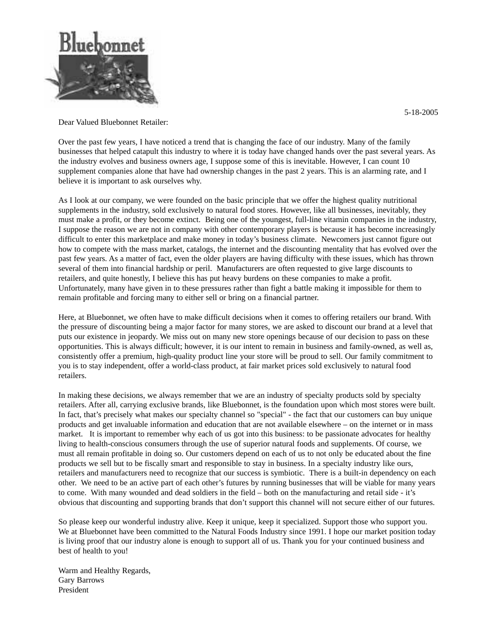

5-18-2005

Dear Valued Bluebonnet Retailer:

Over the past few years, I have noticed a trend that is changing the face of our industry. Many of the family businesses that helped catapult this industry to where it is today have changed hands over the past several years. As the industry evolves and business owners age, I suppose some of this is inevitable. However, I can count 10 supplement companies alone that have had ownership changes in the past 2 years. This is an alarming rate, and I believe it is important to ask ourselves why.

As I look at our company, we were founded on the basic principle that we offer the highest quality nutritional supplements in the industry, sold exclusively to natural food stores. However, like all businesses, inevitably, they must make a profit, or they become extinct. Being one of the youngest, full-line vitamin companies in the industry, I suppose the reason we are not in company with other contemporary players is because it has become increasingly difficult to enter this marketplace and make money in today's business climate. Newcomers just cannot figure out how to compete with the mass market, catalogs, the internet and the discounting mentality that has evolved over the past few years. As a matter of fact, even the older players are having difficulty with these issues, which has thrown several of them into financial hardship or peril. Manufacturers are often requested to give large discounts to retailers, and quite honestly, I believe this has put heavy burdens on these companies to make a profit. Unfortunately, many have given in to these pressures rather than fight a battle making it impossible for them to remain profitable and forcing many to either sell or bring on a financial partner.

Here, at Bluebonnet, we often have to make difficult decisions when it comes to offering retailers our brand. With the pressure of discounting being a major factor for many stores, we are asked to discount our brand at a level that puts our existence in jeopardy. We miss out on many new store openings because of our decision to pass on these opportunities. This is always difficult; however, it is our intent to remain in business and family-owned, as well as, consistently offer a premium, high-quality product line your store will be proud to sell. Our family commitment to you is to stay independent, offer a world-class product, at fair market prices sold exclusively to natural food retailers.

In making these decisions, we always remember that we are an industry of specialty products sold by specialty retailers. After all, carrying exclusive brands, like Bluebonnet, is the foundation upon which most stores were built. In fact, that's precisely what makes our specialty channel so "special" - the fact that our customers can buy unique products and get invaluable information and education that are not available elsewhere – on the internet or in mass market. It is important to remember why each of us got into this business: to be passionate advocates for healthy living to health-conscious consumers through the use of superior natural foods and supplements. Of course, we must all remain profitable in doing so. Our customers depend on each of us to not only be educated about the fine products we sell but to be fiscally smart and responsible to stay in business. In a specialty industry like ours, retailers and manufacturers need to recognize that our success is symbiotic. There is a built-in dependency on each other. We need to be an active part of each other's futures by running businesses that will be viable for many years to come. With many wounded and dead soldiers in the field – both on the manufacturing and retail side - it's obvious that discounting and supporting brands that don't support this channel will not secure either of our futures.

So please keep our wonderful industry alive. Keep it unique, keep it specialized. Support those who support you. We at Bluebonnet have been committed to the Natural Foods Industry since 1991. I hope our market position today is living proof that our industry alone is enough to support all of us. Thank you for your continued business and best of health to you!

Warm and Healthy Regards, Gary Barrows President